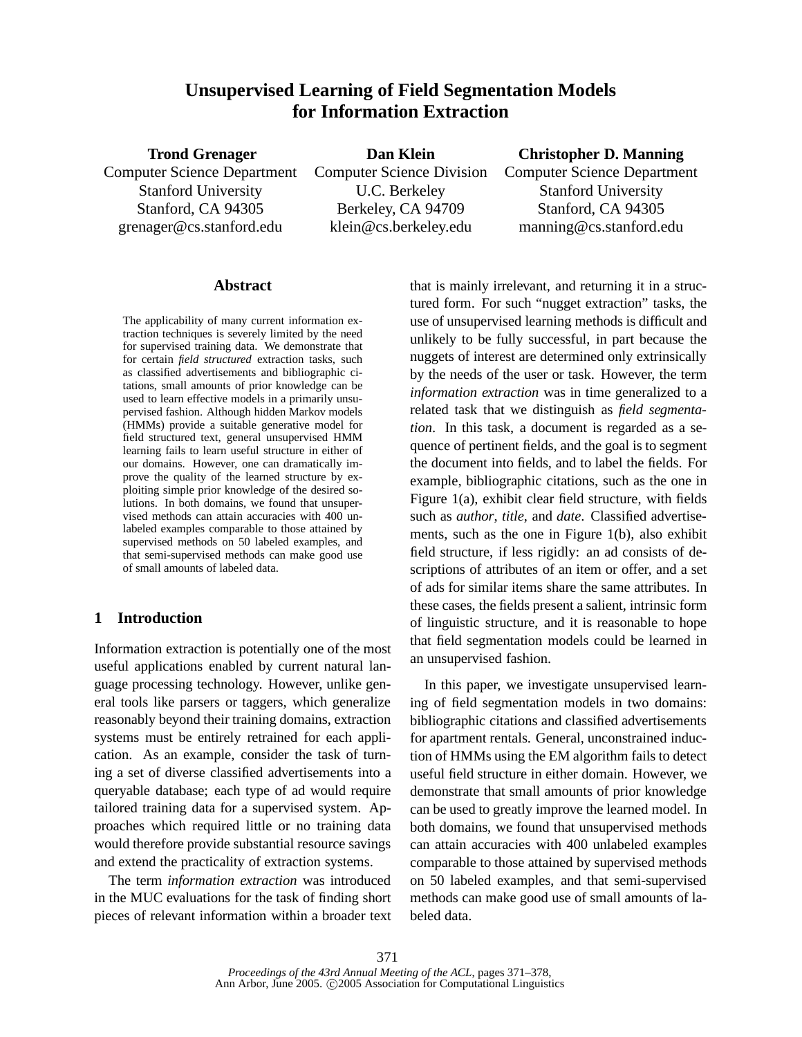# **Unsupervised Learning of Field Segmentation Models for Information Extraction**

| <b>Trond Grenager</b>              | Dan Klein                        | <b>Christopher D. Manning</b>      |
|------------------------------------|----------------------------------|------------------------------------|
| <b>Computer Science Department</b> | <b>Computer Science Division</b> | <b>Computer Science Department</b> |
| <b>Stanford University</b>         | U.C. Berkeley                    | <b>Stanford University</b>         |
| Stanford, CA 94305                 | Berkeley, CA 94709               | Stanford, CA 94305                 |
| grenager@cs.stanford.edu           | klein@cs.berkeley.edu            | manning@cs.stanford.edu            |
|                                    |                                  |                                    |

## **Abstract**

The applicability of many current information extraction techniques is severely limited by the need for supervised training data. We demonstrate that for certain *field structured* extraction tasks, such as classified advertisements and bibliographic citations, small amounts of prior knowledge can be used to learn effective models in a primarily unsupervised fashion. Although hidden Markov models (HMMs) provide a suitable generative model for field structured text, general unsupervised HMM learning fails to learn useful structure in either of our domains. However, one can dramatically improve the quality of the learned structure by exploiting simple prior knowledge of the desired solutions. In both domains, we found that unsupervised methods can attain accuracies with 400 unlabeled examples comparable to those attained by supervised methods on 50 labeled examples, and that semi-supervised methods can make good use of small amounts of labeled data.

# **1 Introduction**

Information extraction is potentially one of the most useful applications enabled by current natural language processing technology. However, unlike general tools like parsers or taggers, which generalize reasonably beyond their training domains, extraction systems must be entirely retrained for each application. As an example, consider the task of turning a set of diverse classified advertisements into a queryable database; each type of ad would require tailored training data for a supervised system. Approaches which required little or no training data would therefore provide substantial resource savings and extend the practicality of extraction systems.

The term *information extraction* was introduced in the MUC evaluations for the task of finding short pieces of relevant information within a broader text that is mainly irrelevant, and returning it in a structured form. For such "nugget extraction" tasks, the use of unsupervised learning methods is difficult and unlikely to be fully successful, in part because the nuggets of interest are determined only extrinsically by the needs of the user or task. However, the term *information extraction* was in time generalized to a related task that we distinguish as *field segmentation*. In this task, a document is regarded as a sequence of pertinent fields, and the goal is to segment the document into fields, and to label the fields. For example, bibliographic citations, such as the one in Figure 1(a), exhibit clear field structure, with fields such as *author*, *title*, and *date*. Classified advertisements, such as the one in Figure 1(b), also exhibit field structure, if less rigidly: an ad consists of descriptions of attributes of an item or offer, and a set of ads for similar items share the same attributes. In these cases, the fields present a salient, intrinsic form of linguistic structure, and it is reasonable to hope that field segmentation models could be learned in an unsupervised fashion.

In this paper, we investigate unsupervised learning of field segmentation models in two domains: bibliographic citations and classified advertisements for apartment rentals. General, unconstrained induction of HMMs using the EM algorithm fails to detect useful field structure in either domain. However, we demonstrate that small amounts of prior knowledge can be used to greatly improve the learned model. In both domains, we found that unsupervised methods can attain accuracies with 400 unlabeled examples comparable to those attained by supervised methods on 50 labeled examples, and that semi-supervised methods can make good use of small amounts of labeled data.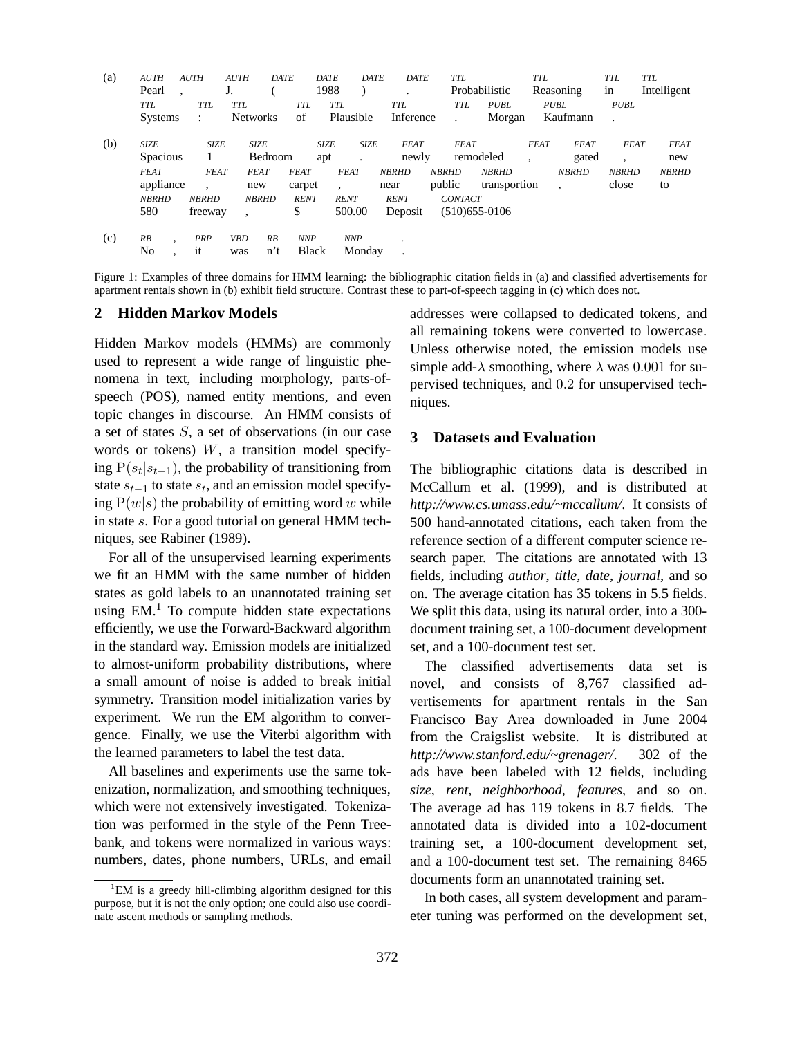| (a) | <b>AUTH</b>     | <b>AUTH</b>  | <b>AUTH</b>          | <b>DATE</b>  | <b>DATE</b><br><b>DATE</b> | <b>DATE</b>  | <b>TTL</b>       |              | <b>TTL</b>  |              | <b>TTL</b>   | <b>TTL</b>   |
|-----|-----------------|--------------|----------------------|--------------|----------------------------|--------------|------------------|--------------|-------------|--------------|--------------|--------------|
|     | Pearl           |              | J.                   |              | 1988                       |              | Probabilistic    |              |             | Reasoning    | 1n           | Intelligent  |
|     | <b>TTL</b>      | <b>TTL</b>   | <b>TTL</b>           | <b>TTL</b>   | <b>TTL</b>                 | <b>TTL</b>   | <b>TTL</b>       | <b>PUBL</b>  |             | <b>PUBL</b>  | <b>PUBL</b>  |              |
|     | <b>Systems</b>  | ÷            | <b>Networks</b>      | of           | Plausible                  | Inference    |                  | Morgan       |             | Kaufmann     | $\cdot$      |              |
| (b) | <b>SIZE</b>     | <b>SIZE</b>  | <b>SIZE</b>          |              | <b>SIZE</b><br><b>SIZE</b> | <b>FEAT</b>  | <b>FEAT</b>      |              | <b>FEAT</b> | <b>FEAT</b>  | <b>FEAT</b>  | <b>FEAT</b>  |
|     | <b>Spacious</b> |              | Bedroom              |              | apt                        | newly        | remodeled        |              |             | gated        |              | new          |
|     | <b>FEAT</b>     | <b>FEAT</b>  | <b>FEAT</b>          | <b>FEAT</b>  | <b>FEAT</b>                | <b>NBRHD</b> | <b>NBRHD</b>     | <b>NBRHD</b> |             | <b>NBRHD</b> | <b>NBRHD</b> | <b>NBRHD</b> |
|     | appliance       |              | new                  | carpet       |                            | near         | public           | transportion |             |              | close        | to           |
|     | <b>NBRHD</b>    | <b>NBRHD</b> | <b>NBRHD</b>         | <b>RENT</b>  | <b>RENT</b>                | <b>RENT</b>  | <b>CONTACT</b>   |              |             |              |              |              |
|     | 580             | freeway      | $\ddot{\phantom{0}}$ | \$           | 500.00                     | Deposit      | $(510)$ 655-0106 |              |             |              |              |              |
| (c) | RB<br>۰         | PRP          | <b>VBD</b><br>RB     | <b>NNP</b>   | <b>NNP</b>                 |              |                  |              |             |              |              |              |
|     | No              | 1t           | n't<br>was           | <b>Black</b> | Monday                     |              |                  |              |             |              |              |              |

Figure 1: Examples of three domains for HMM learning: the bibliographic citation fields in (a) and classified advertisements for apartment rentals shown in (b) exhibit field structure. Contrast these to part-of-speech tagging in (c) which does not.

### **2 Hidden Markov Models**

Hidden Markov models (HMMs) are commonly used to represent a wide range of linguistic phenomena in text, including morphology, parts-ofspeech (POS), named entity mentions, and even topic changes in discourse. An HMM consists of a set of states S, a set of observations (in our case words or tokens)  $W$ , a transition model specifying  $P(s_t|s_{t-1})$ , the probability of transitioning from state  $s_{t-1}$  to state  $s_t$ , and an emission model specifying  $P(w|s)$  the probability of emitting word w while in state s. For a good tutorial on general HMM techniques, see Rabiner (1989).

For all of the unsupervised learning experiments we fit an HMM with the same number of hidden states as gold labels to an unannotated training set using  $EM<sup>1</sup>$ . To compute hidden state expectations efficiently, we use the Forward-Backward algorithm in the standard way. Emission models are initialized to almost-uniform probability distributions, where a small amount of noise is added to break initial symmetry. Transition model initialization varies by experiment. We run the EM algorithm to convergence. Finally, we use the Viterbi algorithm with the learned parameters to label the test data.

All baselines and experiments use the same tokenization, normalization, and smoothing techniques, which were not extensively investigated. Tokenization was performed in the style of the Penn Treebank, and tokens were normalized in various ways: numbers, dates, phone numbers, URLs, and email

addresses were collapsed to dedicated tokens, and all remaining tokens were converted to lowercase. Unless otherwise noted, the emission models use simple add- $\lambda$  smoothing, where  $\lambda$  was 0.001 for supervised techniques, and 0.2 for unsupervised techniques.

#### **3 Datasets and Evaluation**

The bibliographic citations data is described in McCallum et al. (1999), and is distributed at *http://www.cs.umass.edu/~mccallum/*. It consists of 500 hand-annotated citations, each taken from the reference section of a different computer science research paper. The citations are annotated with 13 fields, including *author*, *title*, *date*, *journal*, and so on. The average citation has 35 tokens in 5.5 fields. We split this data, using its natural order, into a 300 document training set, a 100-document development set, and a 100-document test set.

The classified advertisements data set is novel, and consists of 8,767 classified advertisements for apartment rentals in the San Francisco Bay Area downloaded in June 2004 from the Craigslist website. It is distributed at *http://www.stanford.edu/~grenager/*. 302 of the ads have been labeled with 12 fields, including *size*, *rent*, *neighborhood*, *features*, and so on. The average ad has 119 tokens in 8.7 fields. The annotated data is divided into a 102-document training set, a 100-document development set, and a 100-document test set. The remaining 8465 documents form an unannotated training set.

In both cases, all system development and parameter tuning was performed on the development set,

 ${}^{1}$ EM is a greedy hill-climbing algorithm designed for this purpose, but it is not the only option; one could also use coordinate ascent methods or sampling methods.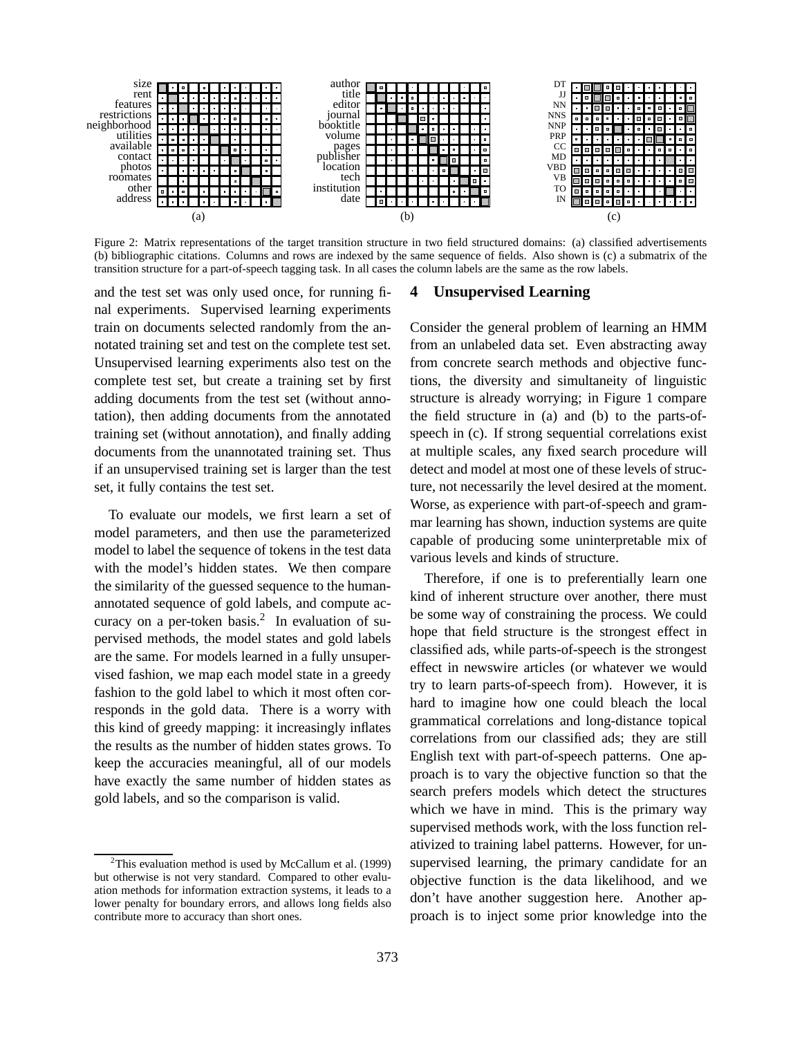

Figure 2: Matrix representations of the target transition structure in two field structured domains: (a) classified advertisements (b) bibliographic citations. Columns and rows are indexed by the same sequence of fields. Also shown is (c) a submatrix of the transition structure for a part-of-speech tagging task. In all cases the column labels are the same as the row labels.

and the test set was only used once, for running final experiments. Supervised learning experiments train on documents selected randomly from the annotated training set and test on the complete test set. Unsupervised learning experiments also test on the complete test set, but create a training set by first adding documents from the test set (without annotation), then adding documents from the annotated training set (without annotation), and finally adding documents from the unannotated training set. Thus if an unsupervised training set is larger than the test set, it fully contains the test set.

To evaluate our models, we first learn a set of model parameters, and then use the parameterized model to label the sequence of tokens in the test data with the model's hidden states. We then compare the similarity of the guessed sequence to the humanannotated sequence of gold labels, and compute accuracy on a per-token basis.<sup>2</sup> In evaluation of supervised methods, the model states and gold labels are the same. For models learned in a fully unsupervised fashion, we map each model state in a greedy fashion to the gold label to which it most often corresponds in the gold data. There is a worry with this kind of greedy mapping: it increasingly inflates the results as the number of hidden states grows. To keep the accuracies meaningful, all of our models have exactly the same number of hidden states as gold labels, and so the comparison is valid.

#### **4 Unsupervised Learning**

Consider the general problem of learning an HMM from an unlabeled data set. Even abstracting away from concrete search methods and objective functions, the diversity and simultaneity of linguistic structure is already worrying; in Figure 1 compare the field structure in (a) and (b) to the parts-ofspeech in (c). If strong sequential correlations exist at multiple scales, any fixed search procedure will detect and model at most one of these levels of structure, not necessarily the level desired at the moment. Worse, as experience with part-of-speech and grammar learning has shown, induction systems are quite capable of producing some uninterpretable mix of various levels and kinds of structure.

Therefore, if one is to preferentially learn one kind of inherent structure over another, there must be some way of constraining the process. We could hope that field structure is the strongest effect in classified ads, while parts-of-speech is the strongest effect in newswire articles (or whatever we would try to learn parts-of-speech from). However, it is hard to imagine how one could bleach the local grammatical correlations and long-distance topical correlations from our classified ads; they are still English text with part-of-speech patterns. One approach is to vary the objective function so that the search prefers models which detect the structures which we have in mind. This is the primary way supervised methods work, with the loss function relativized to training label patterns. However, for unsupervised learning, the primary candidate for an objective function is the data likelihood, and we don't have another suggestion here. Another approach is to inject some prior knowledge into the

<sup>&</sup>lt;sup>2</sup>This evaluation method is used by McCallum et al. (1999) but otherwise is not very standard. Compared to other evaluation methods for information extraction systems, it leads to a lower penalty for boundary errors, and allows long fields also contribute more to accuracy than short ones.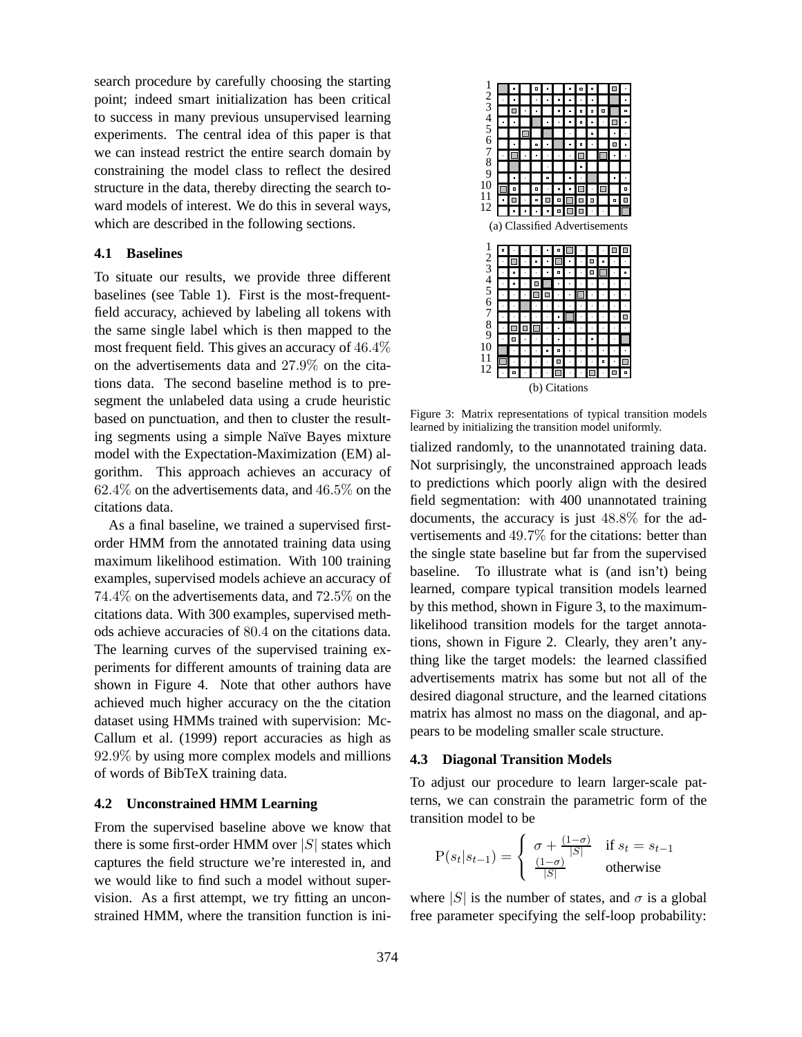search procedure by carefully choosing the starting point; indeed smart initialization has been critical to success in many previous unsupervised learning experiments. The central idea of this paper is that we can instead restrict the entire search domain by constraining the model class to reflect the desired structure in the data, thereby directing the search toward models of interest. We do this in several ways, which are described in the following sections.

# **4.1 Baselines**

To situate our results, we provide three different baselines (see Table 1). First is the most-frequentfield accuracy, achieved by labeling all tokens with the same single label which is then mapped to the most frequent field. This gives an accuracy of 46.4% on the advertisements data and 27.9% on the citations data. The second baseline method is to presegment the unlabeled data using a crude heuristic based on punctuation, and then to cluster the resulting segments using a simple Naïve Bayes mixture model with the Expectation-Maximization (EM) algorithm. This approach achieves an accuracy of 62.4% on the advertisements data, and 46.5% on the citations data.

As a final baseline, we trained a supervised firstorder HMM from the annotated training data using maximum likelihood estimation. With 100 training examples, supervised models achieve an accuracy of 74.4% on the advertisements data, and 72.5% on the citations data. With 300 examples, supervised methods achieve accuracies of 80.4 on the citations data. The learning curves of the supervised training experiments for different amounts of training data are shown in Figure 4. Note that other authors have achieved much higher accuracy on the the citation dataset using HMMs trained with supervision: Mc-Callum et al. (1999) report accuracies as high as 92.9% by using more complex models and millions of words of BibTeX training data.

#### **4.2 Unconstrained HMM Learning**

From the supervised baseline above we know that there is some first-order HMM over  $|S|$  states which captures the field structure we're interested in, and we would like to find such a model without supervision. As a first attempt, we try fitting an unconstrained HMM, where the transition function is ini-



Figure 3: Matrix representations of typical transition models learned by initializing the transition model uniformly.

tialized randomly, to the unannotated training data. Not surprisingly, the unconstrained approach leads to predictions which poorly align with the desired field segmentation: with 400 unannotated training documents, the accuracy is just 48.8% for the advertisements and 49.7% for the citations: better than the single state baseline but far from the supervised baseline. To illustrate what is (and isn't) being learned, compare typical transition models learned by this method, shown in Figure 3, to the maximumlikelihood transition models for the target annotations, shown in Figure 2. Clearly, they aren't anything like the target models: the learned classified advertisements matrix has some but not all of the desired diagonal structure, and the learned citations matrix has almost no mass on the diagonal, and appears to be modeling smaller scale structure.

# **4.3 Diagonal Transition Models**

To adjust our procedure to learn larger-scale patterns, we can constrain the parametric form of the transition model to be

$$
P(s_t|s_{t-1}) = \begin{cases} \n\sigma + \frac{(1-\sigma)}{|S|} & \text{if } s_t = s_{t-1} \\ \n\frac{(1-\sigma)}{|S|} & \text{otherwise} \n\end{cases}
$$

where  $|S|$  is the number of states, and  $\sigma$  is a global free parameter specifying the self-loop probability: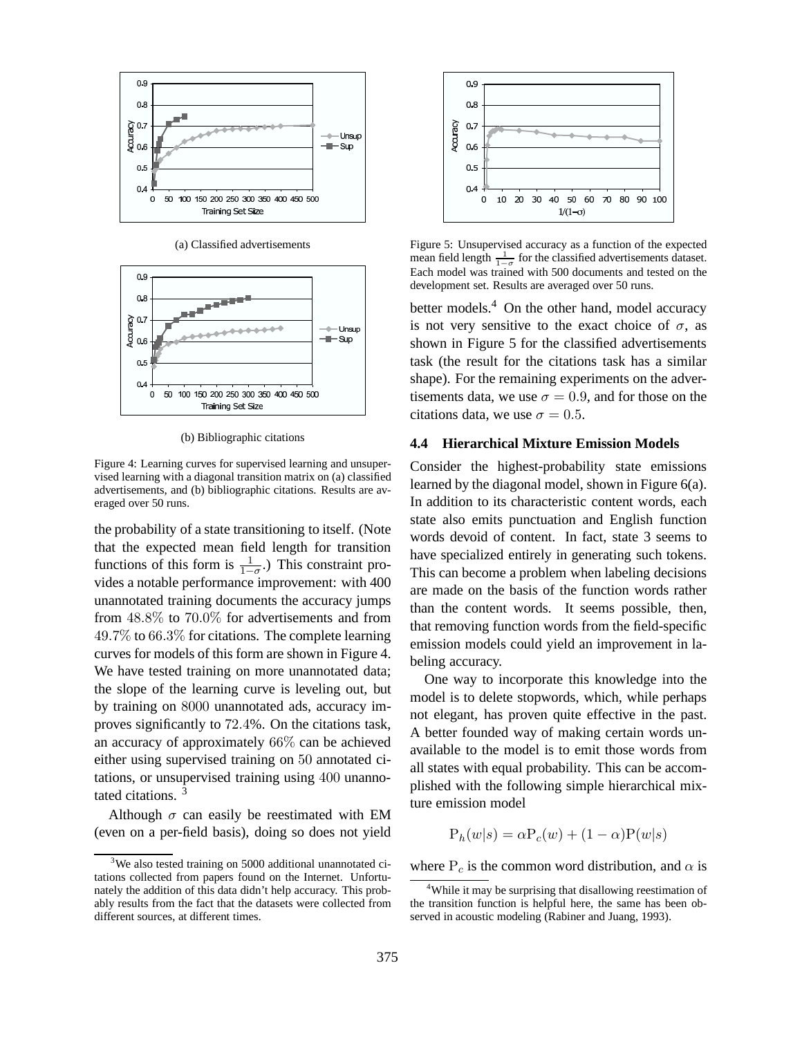

(a) Classified advertisements



(b) Bibliographic citations

Figure 4: Learning curves for supervised learning and unsupervised learning with a diagonal transition matrix on (a) classified advertisements, and (b) bibliographic citations. Results are averaged over 50 runs.

the probability of a state transitioning to itself. (Note that the expected mean field length for transition functions of this form is  $\frac{1}{1-\sigma}$ .) This constraint provides a notable performance improvement: with 400 unannotated training documents the accuracy jumps from 48.8% to 70.0% for advertisements and from 49.7% to 66.3% for citations. The complete learning curves for models of this form are shown in Figure 4. We have tested training on more unannotated data; the slope of the learning curve is leveling out, but by training on 8000 unannotated ads, accuracy improves significantly to 72.4%. On the citations task, an accuracy of approximately 66% can be achieved either using supervised training on 50 annotated citations, or unsupervised training using 400 unannotated citations. <sup>3</sup>

Although  $\sigma$  can easily be reestimated with EM (even on a per-field basis), doing so does not yield



Figure 5: Unsupervised accuracy as a function of the expected mean field length  $\frac{1}{1-\sigma}$  for the classified advertisements dataset. Each model was trained with 500 documents and tested on the development set. Results are averaged over 50 runs.

better models.<sup>4</sup> On the other hand, model accuracy is not very sensitive to the exact choice of  $\sigma$ , as shown in Figure 5 for the classified advertisements task (the result for the citations task has a similar shape). For the remaining experiments on the advertisements data, we use  $\sigma = 0.9$ , and for those on the citations data, we use  $\sigma = 0.5$ .

## **4.4 Hierarchical Mixture Emission Models**

Consider the highest-probability state emissions learned by the diagonal model, shown in Figure 6(a). In addition to its characteristic content words, each state also emits punctuation and English function words devoid of content. In fact, state 3 seems to have specialized entirely in generating such tokens. This can become a problem when labeling decisions are made on the basis of the function words rather than the content words. It seems possible, then, that removing function words from the field-specific emission models could yield an improvement in labeling accuracy.

One way to incorporate this knowledge into the model is to delete stopwords, which, while perhaps not elegant, has proven quite effective in the past. A better founded way of making certain words unavailable to the model is to emit those words from all states with equal probability. This can be accomplished with the following simple hierarchical mixture emission model

$$
P_h(w|s) = \alpha P_c(w) + (1 - \alpha)P(w|s)
$$

where  $P_c$  is the common word distribution, and  $\alpha$  is

<sup>&</sup>lt;sup>3</sup>We also tested training on 5000 additional unannotated citations collected from papers found on the Internet. Unfortunately the addition of this data didn't help accuracy. This probably results from the fact that the datasets were collected from different sources, at different times.

<sup>&</sup>lt;sup>4</sup>While it may be surprising that disallowing reestimation of the transition function is helpful here, the same has been observed in acoustic modeling (Rabiner and Juang, 1993).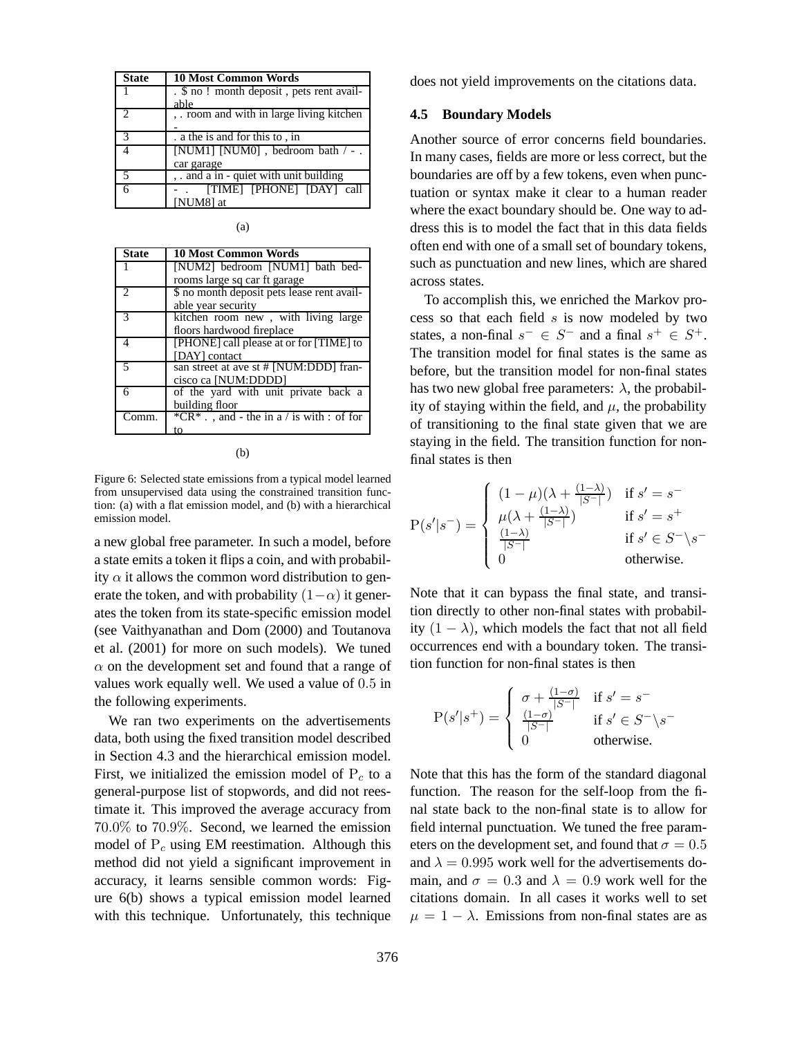| <b>State</b>   | <b>10 Most Common Words</b>               |  |  |  |  |
|----------------|-------------------------------------------|--|--|--|--|
|                | . \$ no ! month deposit, pets rent avail- |  |  |  |  |
|                | able                                      |  |  |  |  |
|                | , . room and with in large living kitchen |  |  |  |  |
|                |                                           |  |  |  |  |
| 3              | . a the is and for this to, in            |  |  |  |  |
| $\overline{4}$ | [NUM1] [NUM0], bedroom bath / -.          |  |  |  |  |
|                | car garage                                |  |  |  |  |
| -5             | , . and a in - quiet with unit building   |  |  |  |  |
| 6              | [TIME] [PHONE] [DAY] call                 |  |  |  |  |
|                | [NUM8] at                                 |  |  |  |  |

(a)

| <b>State</b>                | <b>10 Most Common Words</b>                 |  |  |  |
|-----------------------------|---------------------------------------------|--|--|--|
|                             | [NUM2] bedroom [NUM1] bath bed-             |  |  |  |
|                             | rooms large sq car ft garage                |  |  |  |
| $\mathcal{D}_{\mathcal{L}}$ | \$ no month deposit pets lease rent avail-  |  |  |  |
|                             | able year security                          |  |  |  |
| $\mathcal{R}$               | kitchen room new, with living large         |  |  |  |
|                             | floors hardwood fireplace                   |  |  |  |
| 4                           | [PHONE] call please at or for [TIME] to     |  |  |  |
|                             | [DAY] contact                               |  |  |  |
| $\sim$                      | san street at ave st # [NUM:DDD] fran-      |  |  |  |
|                             | cisco ca [NUM:DDDD]                         |  |  |  |
| 6                           | of the yard with unit private back a        |  |  |  |
|                             | building floor                              |  |  |  |
| Comm.                       | $*CR*$ ., and - the in a / is with : of for |  |  |  |
|                             | tΩ                                          |  |  |  |

(b)

Figure 6: Selected state emissions from a typical model learned from unsupervised data using the constrained transition function: (a) with a flat emission model, and (b) with a hierarchical emission model.

a new global free parameter. In such a model, before a state emits a token it flips a coin, and with probability  $\alpha$  it allows the common word distribution to generate the token, and with probability  $(1-\alpha)$  it generates the token from its state-specific emission model (see Vaithyanathan and Dom (2000) and Toutanova et al. (2001) for more on such models). We tuned  $\alpha$  on the development set and found that a range of values work equally well. We used a value of 0.5 in the following experiments.

We ran two experiments on the advertisements data, both using the fixed transition model described in Section 4.3 and the hierarchical emission model. First, we initialized the emission model of  $P_c$  to a general-purpose list of stopwords, and did not reestimate it. This improved the average accuracy from 70.0% to 70.9%. Second, we learned the emission model of  $P_c$  using EM reestimation. Although this method did not yield a significant improvement in accuracy, it learns sensible common words: Figure 6(b) shows a typical emission model learned with this technique. Unfortunately, this technique

does not yield improvements on the citations data.

# **4.5 Boundary Models**

Another source of error concerns field boundaries. In many cases, fields are more or less correct, but the boundaries are off by a few tokens, even when punctuation or syntax make it clear to a human reader where the exact boundary should be. One way to address this is to model the fact that in this data fields often end with one of a small set of boundary tokens, such as punctuation and new lines, which are shared across states.

To accomplish this, we enriched the Markov process so that each field  $s$  is now modeled by two states, a non-final  $s^- \in S^-$  and a final  $s^+ \in S^+$ . The transition model for final states is the same as before, but the transition model for non-final states has two new global free parameters:  $\lambda$ , the probability of staying within the field, and  $\mu$ , the probability of transitioning to the final state given that we are staying in the field. The transition function for nonfinal states is then

$$
P(s'|s^{-}) = \begin{cases} (1 - \mu)(\lambda + \frac{(1 - \lambda)}{|S^{-}|}) & \text{if } s' = s^{-} \\ \mu(\lambda + \frac{(1 - \lambda)}{|S^{-}|}) & \text{if } s' = s^{+} \\ \frac{(1 - \lambda)}{|S^{-}|} & \text{if } s' \in S^{-} \setminus s^{-} \\ 0 & \text{otherwise.} \end{cases}
$$

Note that it can bypass the final state, and transition directly to other non-final states with probability  $(1 - \lambda)$ , which models the fact that not all field occurrences end with a boundary token. The transition function for non-final states is then

$$
P(s'|s^+) = \begin{cases} \n\sigma + \frac{(1-\sigma)}{|S^-|} & \text{if } s' = s^-\\ \n\frac{(1-\sigma)}{|S^-|} & \text{if } s' \in S^- \backslash s^-\\ \n0 & \text{otherwise.} \n\end{cases}
$$

Note that this has the form of the standard diagonal function. The reason for the self-loop from the final state back to the non-final state is to allow for field internal punctuation. We tuned the free parameters on the development set, and found that  $\sigma = 0.5$ and  $\lambda = 0.995$  work well for the advertisements domain, and  $\sigma = 0.3$  and  $\lambda = 0.9$  work well for the citations domain. In all cases it works well to set  $\mu = 1 - \lambda$ . Emissions from non-final states are as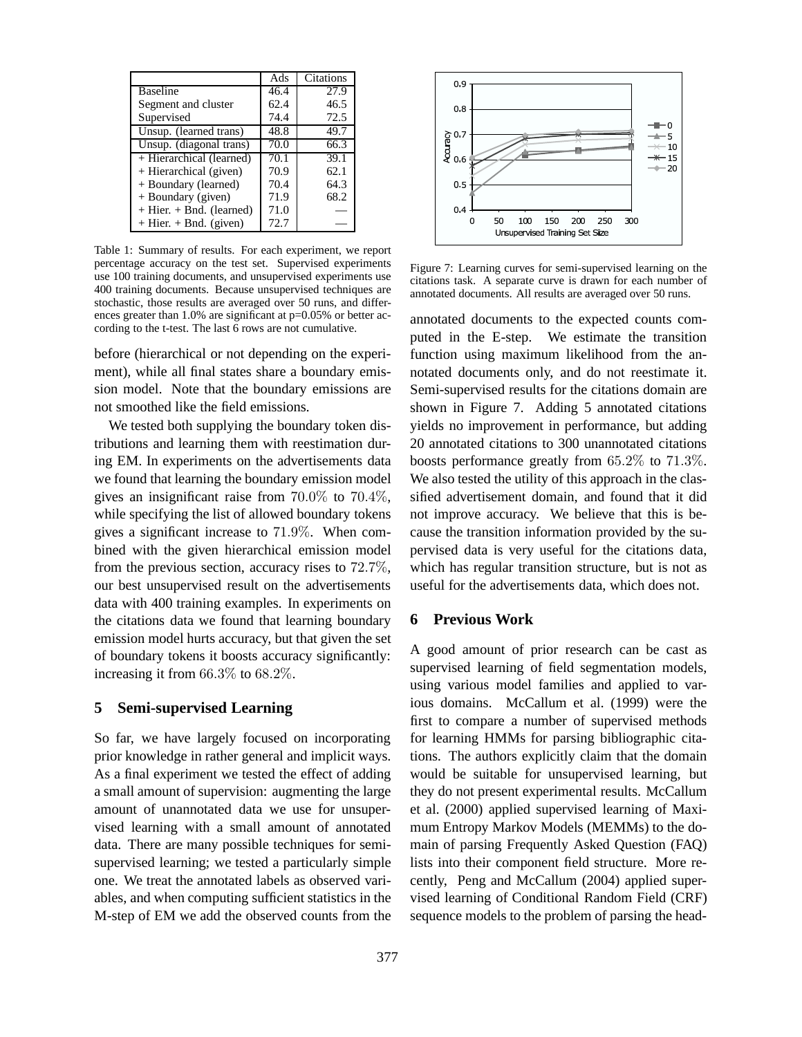|                              | Ads  | Citations |
|------------------------------|------|-----------|
| <b>Baseline</b>              | 46.4 | 27.9      |
| Segment and cluster          | 62.4 | 46.5      |
| Supervised                   | 74.4 | 72.5      |
| Unsup. (learned trans)       | 48.8 | 49.7      |
| Unsup. (diagonal trans)      | 70.0 | 66.3      |
| + Hierarchical (learned)     | 70.1 | 39.1      |
| + Hierarchical (given)       | 70.9 | 62.1      |
| + Boundary (learned)         | 70.4 | 64.3      |
| + Boundary (given)           | 71.9 | 68.2      |
| $+$ Hier. $+$ Bnd. (learned) | 71.0 |           |
| $+$ Hier. $+$ Bnd. (given)   | 72.7 |           |

Table 1: Summary of results. For each experiment, we report percentage accuracy on the test set. Supervised experiments use 100 training documents, and unsupervised experiments use 400 training documents. Because unsupervised techniques are stochastic, those results are averaged over 50 runs, and differences greater than 1.0% are significant at p=0.05% or better according to the t-test. The last 6 rows are not cumulative.

before (hierarchical or not depending on the experiment), while all final states share a boundary emission model. Note that the boundary emissions are not smoothed like the field emissions.

We tested both supplying the boundary token distributions and learning them with reestimation during EM. In experiments on the advertisements data we found that learning the boundary emission model gives an insignificant raise from 70.0% to 70.4%, while specifying the list of allowed boundary tokens gives a significant increase to 71.9%. When combined with the given hierarchical emission model from the previous section, accuracy rises to 72.7%, our best unsupervised result on the advertisements data with 400 training examples. In experiments on the citations data we found that learning boundary emission model hurts accuracy, but that given the set of boundary tokens it boosts accuracy significantly: increasing it from 66.3% to 68.2%.

# **5 Semi-supervised Learning**

So far, we have largely focused on incorporating prior knowledge in rather general and implicit ways. As a final experiment we tested the effect of adding a small amount of supervision: augmenting the large amount of unannotated data we use for unsupervised learning with a small amount of annotated data. There are many possible techniques for semisupervised learning; we tested a particularly simple one. We treat the annotated labels as observed variables, and when computing sufficient statistics in the M-step of EM we add the observed counts from the



Figure 7: Learning curves for semi-supervised learning on the citations task. A separate curve is drawn for each number of annotated documents. All results are averaged over 50 runs.

annotated documents to the expected counts computed in the E-step. We estimate the transition function using maximum likelihood from the annotated documents only, and do not reestimate it. Semi-supervised results for the citations domain are shown in Figure 7. Adding 5 annotated citations yields no improvement in performance, but adding 20 annotated citations to 300 unannotated citations boosts performance greatly from 65.2% to 71.3%. We also tested the utility of this approach in the classified advertisement domain, and found that it did not improve accuracy. We believe that this is because the transition information provided by the supervised data is very useful for the citations data, which has regular transition structure, but is not as useful for the advertisements data, which does not.

# **6 Previous Work**

A good amount of prior research can be cast as supervised learning of field segmentation models, using various model families and applied to various domains. McCallum et al. (1999) were the first to compare a number of supervised methods for learning HMMs for parsing bibliographic citations. The authors explicitly claim that the domain would be suitable for unsupervised learning, but they do not present experimental results. McCallum et al. (2000) applied supervised learning of Maximum Entropy Markov Models (MEMMs) to the domain of parsing Frequently Asked Question (FAQ) lists into their component field structure. More recently, Peng and McCallum (2004) applied supervised learning of Conditional Random Field (CRF) sequence models to the problem of parsing the head